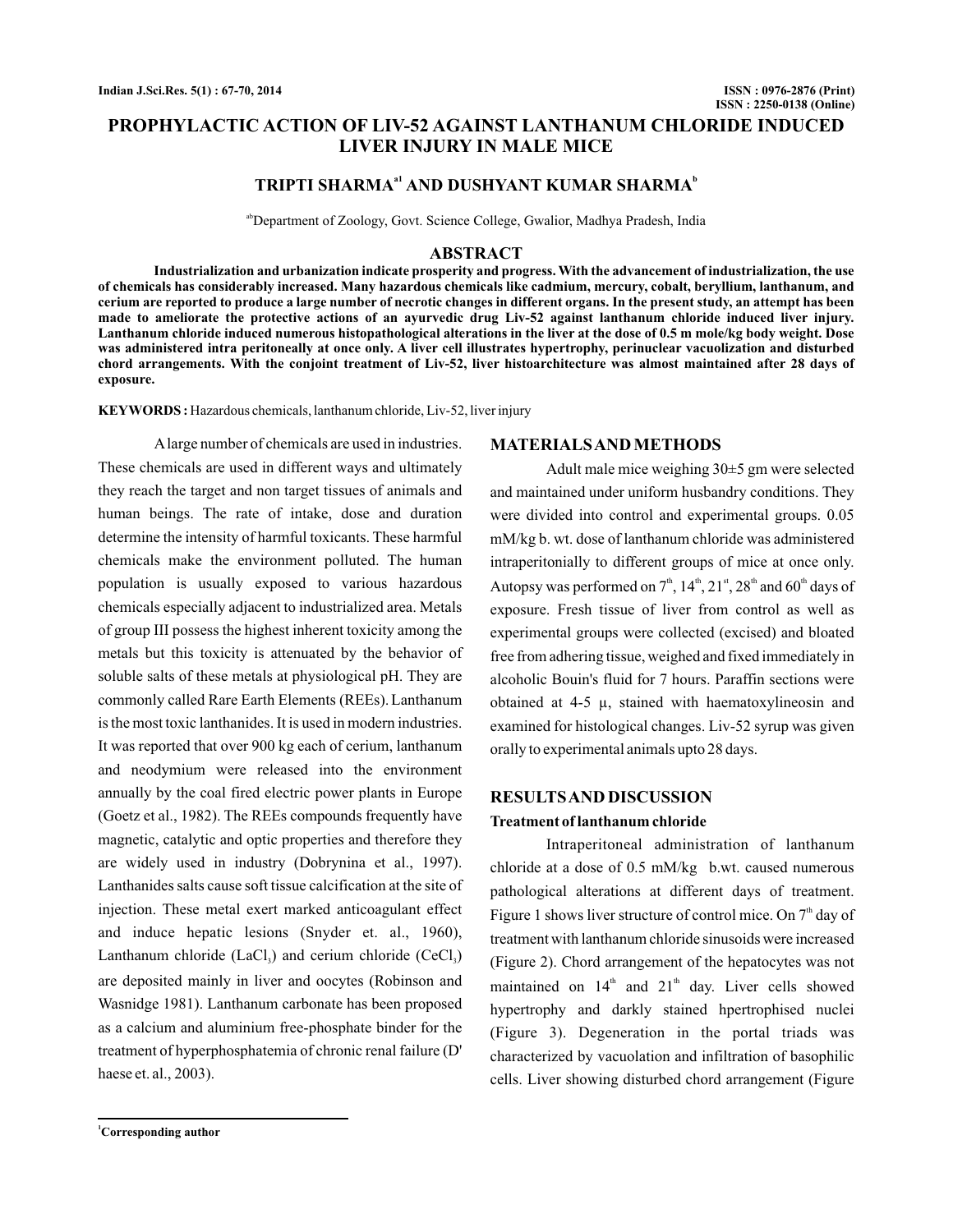# **PROPHYLACTIC ACTION OF LIV-52 AGAINST LANTHANUM CHLORIDE INDUCED LIVER INJURY IN MALE MICE**

# **TRIPTI SHARMA<sup>a1</sup> AND DUSHYANT KUMAR SHARMA<sup>b</sup>**

<sup>ab</sup>Department of Zoology, Govt. Science College, Gwalior, Madhya Pradesh, India

#### **ABSTRACT**

**Industrialization and urbanization indicate prosperity and progress. With the advancement of industrialization, the use of chemicals has considerably increased. Many hazardous chemicals like cadmium, mercury, cobalt, beryllium, lanthanum, and cerium are reported to produce a large number of necrotic changes in different organs. In the present study, an attempt has been made to ameliorate the protective actions of an ayurvedic drug Liv-52 against lanthanum chloride induced liver injury. Lanthanum chloride induced numerous histopathological alterations in the liver at the dose of 0.5 m mole/kg body weight. Dose was administered intra peritoneally at once only. A liver cell illustrates hypertrophy, perinuclear vacuolization and disturbed chord arrangements. With the conjoint treatment of Liv-52, liver histoarchitecture was almost maintained after 28 days of exposure.**

**KEYWORDS :** Hazardous chemicals, lanthanum chloride, Liv-52, liver injury

Alarge number of chemicals are used in industries. These chemicals are used in different ways and ultimately they reach the target and non target tissues of animals and human beings. The rate of intake, dose and duration determine the intensity of harmful toxicants. These harmful chemicals make the environment polluted. The human population is usually exposed to various hazardous chemicals especially adjacent to industrialized area. Metals of group III possess the highest inherent toxicity among the metals but this toxicity is attenuated by the behavior of soluble salts of these metals at physiological pH. They are commonly called Rare Earth Elements (REEs). Lanthanum is the most toxic lanthanides. It is used in modern industries. It was reported that over 900 kg each of cerium, lanthanum and neodymium were released into the environment annually by the coal fired electric power plants in Europe (Goetz et al., 1982). The REEs compounds frequently have magnetic, catalytic and optic properties and therefore they are widely used in industry (Dobrynina et al., 1997). Lanthanides salts cause soft tissue calcification at the site of injection. These metal exert marked anticoagulant effect and induce hepatic lesions (Snyder et. al., 1960), Lanthanum chloride  $(LaCl<sub>3</sub>)$  and cerium chloride  $(CeCl<sub>3</sub>)$ are deposited mainly in liver and oocytes (Robinson and Wasnidge 1981). Lanthanum carbonate has been proposed as a calcium and aluminium free-phosphate binder for the treatment of hyperphosphatemia of chronic renal failure (D' haese et. al., 2003).

**MATERIALSAND METHODS**

Adult male mice weighing 30±5 gm were selected and maintained under uniform husbandry conditions. They were divided into control and experimental groups. 0.05 mM/kg b. wt. dose of lanthanum chloride was administered intraperitonially to different groups of mice at once only. Autopsy was performed on  $7^{\text{th}}$ ,  $14^{\text{th}}$ ,  $21^{\text{st}}$ ,  $28^{\text{th}}$  and  $60^{\text{th}}$  days of exposure. Fresh tissue of liver from control as well as experimental groups were collected (excised) and bloated free from adhering tissue, weighed and fixed immediately in alcoholic Bouin's fluid for 7 hours. Paraffin sections were obtained at  $4-5 \mu$ , stained with haematoxylineosin and examined for histological changes. Liv-52 syrup was given orally to experimental animals upto 28 days.

## **RESULTSAND DISCUSSION**

#### **Treatment of lanthanum chloride**

Intraperitoneal administration of lanthanum chloride at a dose of 0.5 mM/kg b.wt. caused numerous pathological alterations at different days of treatment. Figure 1 shows liver structure of control mice. On  $7<sup>th</sup>$  day of treatment with lanthanum chloride sinusoids were increased (Figure 2). Chord arrangement of the hepatocytes was not maintained on  $14<sup>th</sup>$  and  $21<sup>th</sup>$  day. Liver cells showed hypertrophy and darkly stained hpertrophised nuclei (Figure 3). Degeneration in the portal triads was characterized by vacuolation and infiltration of basophilic cells. Liver showing disturbed chord arrangement (Figure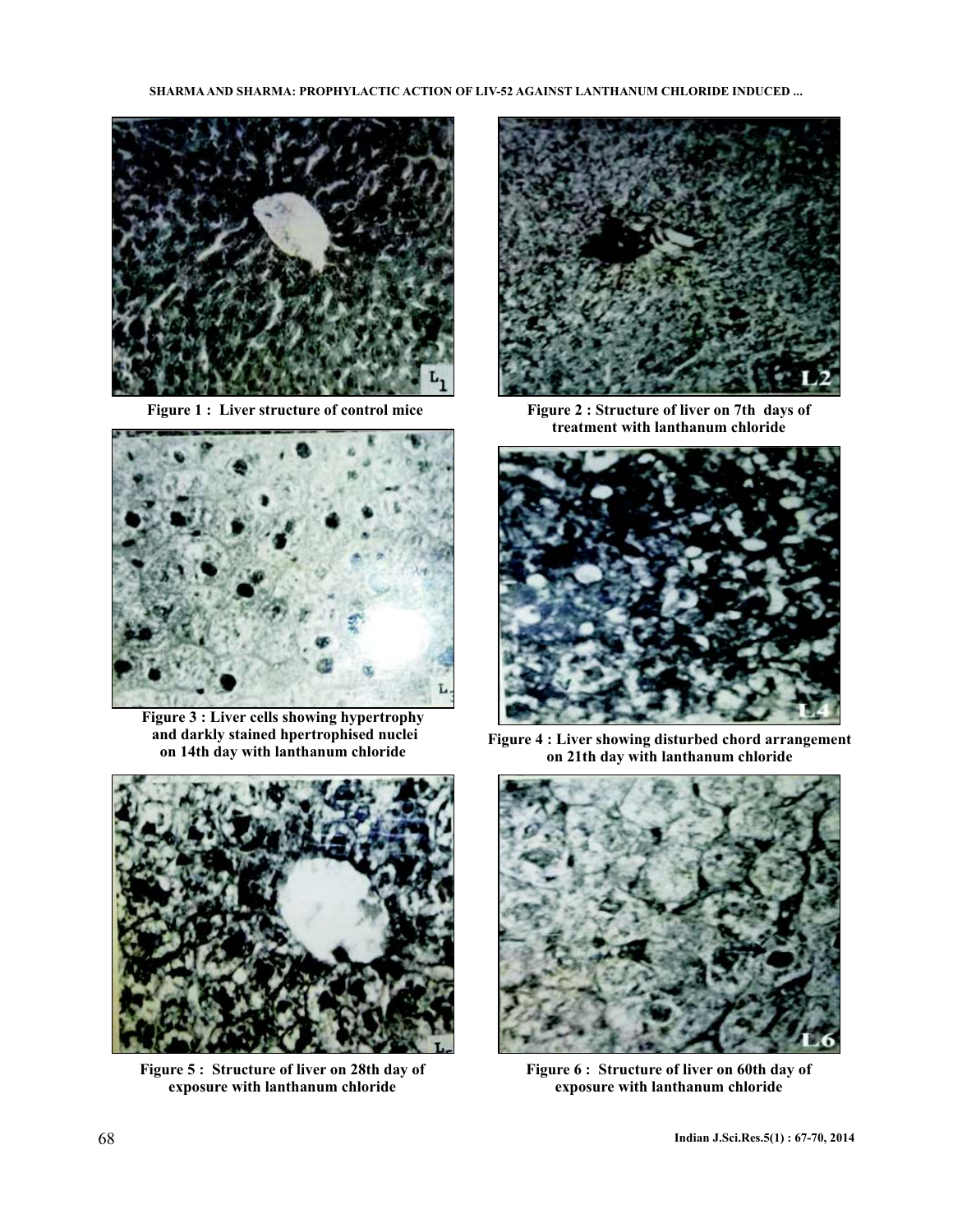



**Figure 3 : Liver cells showing hypertrophy and darkly stained hpertrophised nuclei on 14th day with lanthanum chloride**



**Figure 5 : Structure of liver on 28th day of exposure with lanthanum chloride**



Figure 1 : Liver structure of control mice Figure 2 : Structure of liver on 7th days of **treatment with lanthanum chloride**



**Figure 4 : Liver showing disturbed chord arrangement on 21th day with lanthanum chloride**



**Figure 6 : Structure of liver on 60th day of exposure with lanthanum chloride**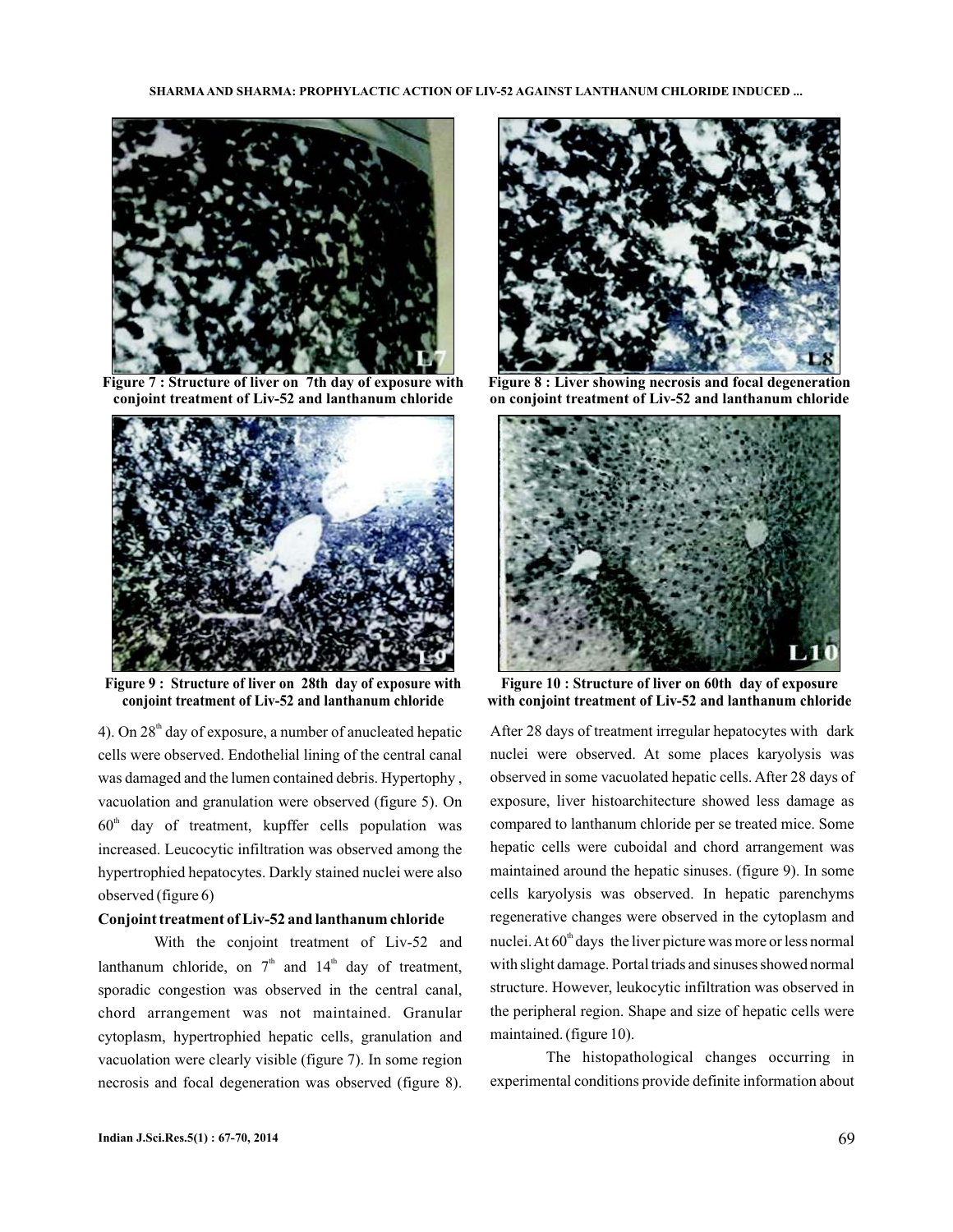

**Figure 7 : Structure of liver on 7th day of exposure with conjoint treatment of Liv-52 and lanthanum chloride**



**Figure 9 : Structure of liver on 28th day of exposure with conjoint treatment of Liv-52 and lanthanum chloride**

4). On  $28<sup>th</sup>$  day of exposure, a number of anucleated hepatic cells were observed. Endothelial lining of the central canal was damaged and the lumen contained debris. Hypertophy , vacuolation and granulation were observed (figure 5). On  $60<sup>th</sup>$  day of treatment, kupffer cells population was increased. Leucocytic infiltration was observed among the hypertrophied hepatocytes. Darkly stained nuclei were also observed (figure 6)

## **Conjoint treatment of Liv-52 and lanthanum chloride**

With the conjoint treatment of Liv-52 and lanthanum chloride, on  $7<sup>th</sup>$  and  $14<sup>th</sup>$  day of treatment, sporadic congestion was observed in the central canal, chord arrangement was not maintained. Granular cytoplasm, hypertrophied hepatic cells, granulation and vacuolation were clearly visible (figure 7). In some region necrosis and focal degeneration was observed (figure 8).



**Figure 8 : Liver showing necrosis and focal degeneration on conjoint treatment of Liv-52 and lanthanum chloride**



**Figure 10 : Structure of liver on 60th day of exposure with conjoint treatment of Liv-52 and lanthanum chloride**

After 28 days of treatment irregular hepatocytes with dark nuclei were observed. At some places karyolysis was observed in some vacuolated hepatic cells. After 28 days of exposure, liver histoarchitecture showed less damage as compared to lanthanum chloride per se treated mice. Some hepatic cells were cuboidal and chord arrangement was maintained around the hepatic sinuses. (figure 9). In some cells karyolysis was observed. In hepatic parenchyms regenerative changes were observed in the cytoplasm and nuclei. At  $60<sup>th</sup>$  days the liver picture was more or less normal with slight damage. Portal triads and sinuses showed normal structure. However, leukocytic infiltration was observed in the peripheral region. Shape and size of hepatic cells were maintained. (figure 10).

The histopathological changes occurring in experimental conditions provide definite information about